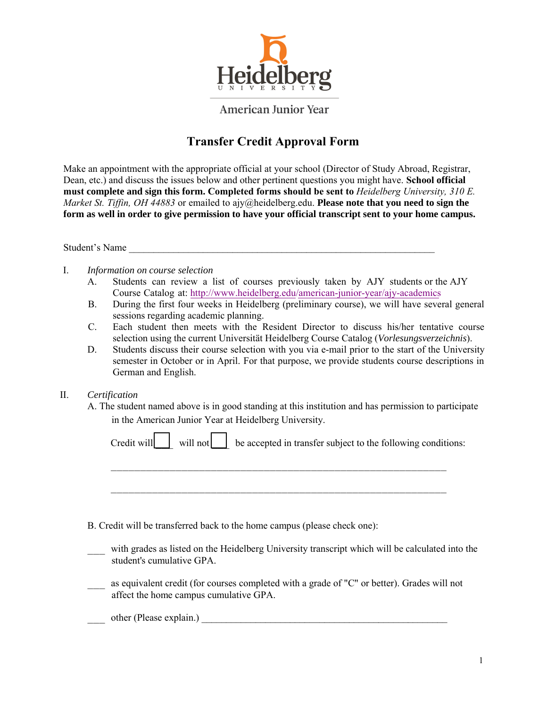

**American Junior Year** 

# **Transfer Credit Approval Form**

Make an appointment with the appropriate official at your school (Director of Study Abroad, Registrar, Dean, etc.) and discuss the issues below and other pertinent questions you might have. **School official must complete and sign this form. Completed forms should be sent to** *Heidelberg University, 310 E. Market St. Tiffin, OH 44883* or emailed to ajy@heidelberg.edu. **Please note that you need to sign the form as well in order to give permission to have your official transcript sent to your home campus.** 

Student's Name

I. *Information on course selection*

- A. Students can review a list of courses previously taken by AJY students or the AJY Course Catalog at: http://www.heidelberg.edu/american-junior-year/ajy-academics
- B. During the first four weeks in Heidelberg (preliminary course), we will have several general sessions regarding academic planning.
- C. Each student then meets with the Resident Director to discuss his/her tentative course selection using the current Universität Heidelberg Course Catalog (*Vorlesungsverzeichnis*).
- D. Students discuss their course selection with you via e-mail prior to the start of the University semester in October or in April. For that purpose, we provide students course descriptions in German and English.

### II. *Certification*

A. The student named above is in good standing at this institution and has permission to participate in the American Junior Year at Heidelberg University.

| Credit will will not be accepted in transfer subject to the following conditions: |
|-----------------------------------------------------------------------------------|
|                                                                                   |

- B. Credit will be transferred back to the home campus (please check one):
- with grades as listed on the Heidelberg University transcript which will be calculated into the student's cumulative GPA.
- as equivalent credit (for courses completed with a grade of "C" or better). Grades will not affect the home campus cumulative GPA.

### other (Please explain.)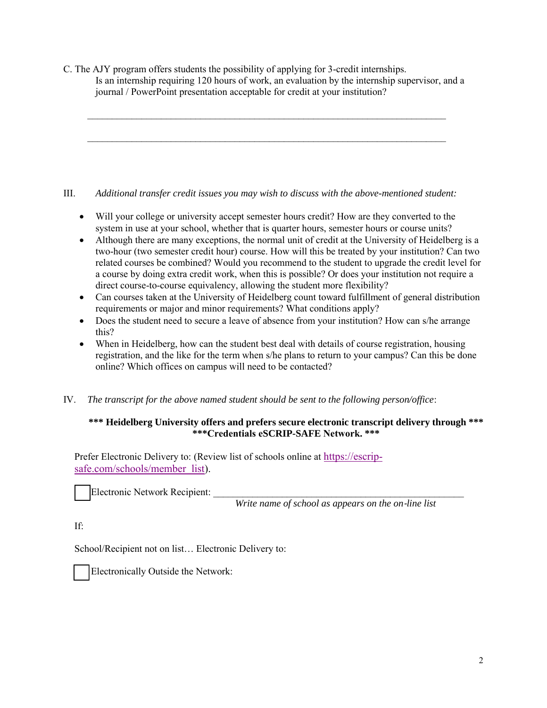C. The AJY program offers students the possibility of applying for 3-credit internships. Is an internship requiring 120 hours of work, an evaluation by the internship supervisor, and a journal / PowerPoint presentation acceptable for credit at your institution?

\_\_\_\_\_\_\_\_\_\_\_\_\_\_\_\_\_\_\_\_\_\_\_\_\_\_\_\_\_\_\_\_\_\_\_\_\_\_\_\_\_\_\_\_\_\_\_\_\_\_\_\_\_\_\_\_\_\_\_\_\_\_\_\_\_\_\_\_\_\_\_\_\_

\_\_\_\_\_\_\_\_\_\_\_\_\_\_\_\_\_\_\_\_\_\_\_\_\_\_\_\_\_\_\_\_\_\_\_\_\_\_\_\_\_\_\_\_\_\_\_\_\_\_\_\_\_\_\_\_\_\_\_\_\_\_\_\_\_\_\_\_\_\_\_\_\_

# III. *Additional transfer credit issues you may wish to discuss with the above-mentioned student:*

- Will your college or university accept semester hours credit? How are they converted to the system in use at your school, whether that is quarter hours, semester hours or course units?
- Although there are many exceptions, the normal unit of credit at the University of Heidelberg is a two-hour (two semester credit hour) course. How will this be treated by your institution? Can two related courses be combined? Would you recommend to the student to upgrade the credit level for a course by doing extra credit work, when this is possible? Or does your institution not require a direct course-to-course equivalency, allowing the student more flexibility?
- Can courses taken at the University of Heidelberg count toward fulfillment of general distribution requirements or major and minor requirements? What conditions apply?
- Does the student need to secure a leave of absence from your institution? How can s/he arrange this?
- When in Heidelberg, how can the student best deal with details of course registration, housing registration, and the like for the term when s/he plans to return to your campus? Can this be done online? Which offices on campus will need to be contacted?
- IV. *The transcript for the above named student should be sent to the following person/office*:

# **\*\*\* Heidelberg University offers and prefers secure electronic transcript delivery through \*\*\* \*\*\*Credentials eSCRIP-SAFE Network. \*\*\***

Prefer Electronic Delivery to: (Review list of schools online at [https://escrip](http://www.scrip-safe.com/products/electronic-transcripts/network-members.aspx)[safe.com/schools/member\\_list](http://www.scrip-safe.com/products/electronic-transcripts/network-members.aspx)).

Electronic Network Recipient:

*Write name of school as appears on the on*‐*line list*

If:

School/Recipient not on list… Electronic Delivery to:



Electronically Outside the Network: